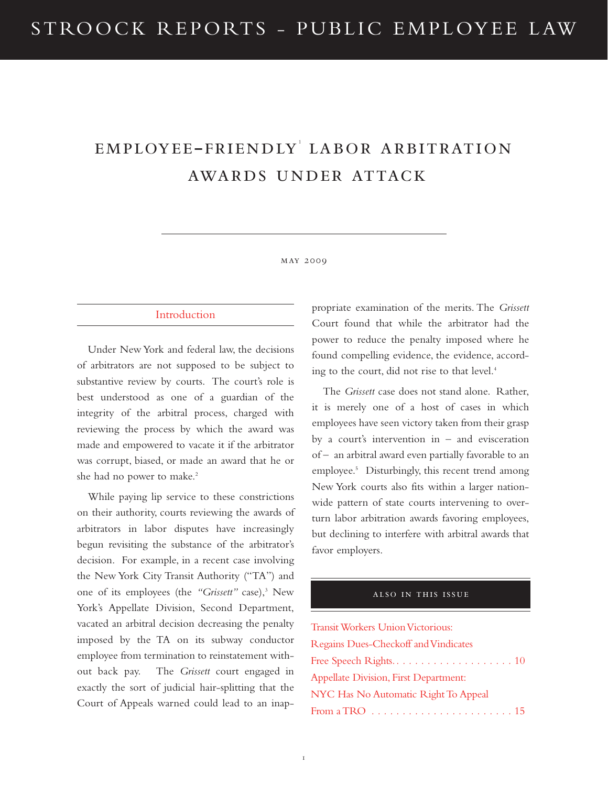# employee-friendly<sup>1</sup> labor arbitration awards under attack

#### may 2009

#### Introduction

Under New York and federal law, the decisions of arbitrators are not supposed to be subject to substantive review by courts. The court's role is best understood as one of a guardian of the integrity of the arbitral process, charged with reviewing the process by which the award was made and empowered to vacate it if the arbitrator was corrupt, biased, or made an award that he or she had no power to make.<sup>2</sup>

While paying lip service to these constrictions on their authority, courts reviewing the awards of arbitrators in labor disputes have increasingly begun revisiting the substance of the arbitrator's decision. For example, in a recent case involving the New York City Transit Authority ("TA") and one of its employees (the "Grissett" case),<sup>3</sup> New York's Appellate Division, Second Department, vacated an arbitral decision decreasing the penalty imposed by the TA on its subway conductor employee from termination to reinstatement without back pay. The *Grissett* court engaged in exactly the sort of judicial hair-splitting that the Court of Appeals warned could lead to an inappropriate examination of the merits. The *Grissett* Court found that while the arbitrator had the power to reduce the penalty imposed where he found compelling evidence, the evidence, according to the court, did not rise to that level.<sup>4</sup>

The *Grissett* case does not stand alone. Rather, it is merely one of a host of cases in which employees have seen victory taken from their grasp by a court's intervention in – and evisceration of – an arbitral award even partially favorable to an employee.<sup>5</sup> Disturbingly, this recent trend among New York courts also fits within a larger nationwide pattern of state courts intervening to overturn labor arbitration awards favoring employees, but declining to interfere with arbitral awards that favor employers.

#### also in this issue

Transit Workers Union Victorious: Regains Dues-Checkoff and Vindicates Free Speech Rights*.. . . . . . . . . . . . . . . . . . .* 10 Appellate Division, First Department: NYC Has No Automatic Right To Appeal From a TRO *. . . . . . . . . . . . . . . . . . . . . . .* 15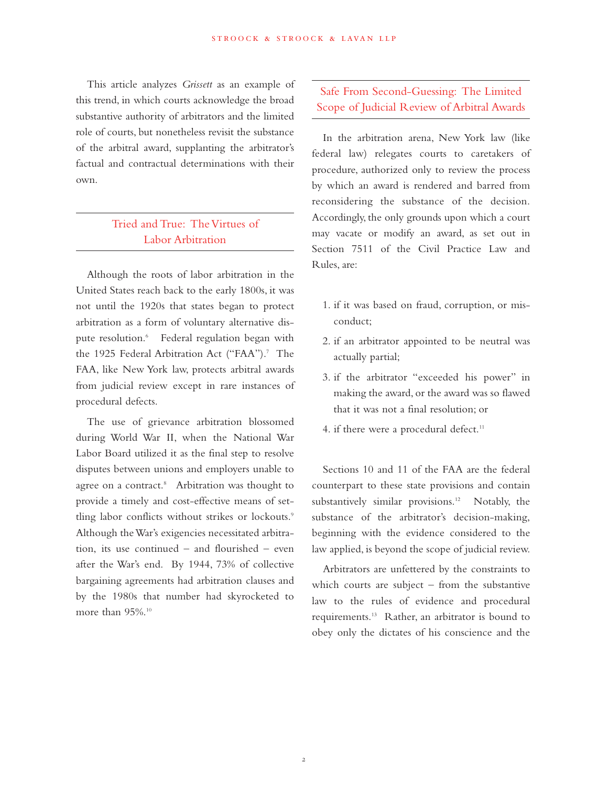This article analyzes *Grissett* as an example of this trend, in which courts acknowledge the broad substantive authority of arbitrators and the limited role of courts, but nonetheless revisit the substance of the arbitral award, supplanting the arbitrator's factual and contractual determinations with their own.

## Tried and True: The Virtues of Labor Arbitration

Although the roots of labor arbitration in the United States reach back to the early 1800s, it was not until the 1920s that states began to protect arbitration as a form of voluntary alternative dispute resolution.<sup>6</sup> Federal regulation began with the 1925 Federal Arbitration Act ("FAA").<sup>7</sup> The FAA, like New York law, protects arbitral awards from judicial review except in rare instances of procedural defects.

The use of grievance arbitration blossomed during World War II, when the National War Labor Board utilized it as the final step to resolve disputes between unions and employers unable to agree on a contract.<sup>8</sup> Arbitration was thought to provide a timely and cost-effective means of settling labor conflicts without strikes or lockouts.<sup>9</sup> Although the War's exigencies necessitated arbitration, its use continued – and flourished – even after the War's end. By 1944, 73% of collective bargaining agreements had arbitration clauses and by the 1980s that number had skyrocketed to more than 95%.<sup>10</sup>

### Safe From Second-Guessing: The Limited Scope of Judicial Review of Arbitral Awards

In the arbitration arena, New York law (like federal law) relegates courts to caretakers of procedure, authorized only to review the process by which an award is rendered and barred from reconsidering the substance of the decision. Accordingly, the only grounds upon which a court may vacate or modify an award, as set out in Section 7511 of the Civil Practice Law and Rules, are:

- 1. if it was based on fraud, corruption, or misconduct;
- 2. if an arbitrator appointed to be neutral was actually partial;
- 3. if the arbitrator "exceeded his power" in making the award, or the award was so flawed that it was not a final resolution; or
- 4. if there were a procedural defect.<sup>11</sup>

Sections 10 and 11 of the FAA are the federal counterpart to these state provisions and contain substantively similar provisions.<sup>12</sup> Notably, the substance of the arbitrator's decision-making, beginning with the evidence considered to the law applied, is beyond the scope of judicial review.

Arbitrators are unfettered by the constraints to which courts are subject – from the substantive law to the rules of evidence and procedural requirements.13 Rather, an arbitrator is bound to obey only the dictates of his conscience and the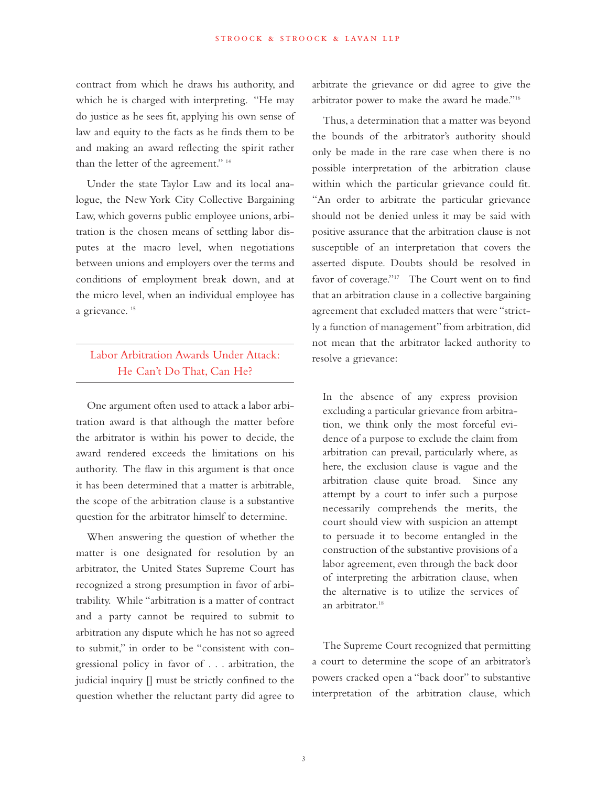contract from which he draws his authority, and which he is charged with interpreting. "He may do justice as he sees fit, applying his own sense of law and equity to the facts as he finds them to be and making an award reflecting the spirit rather than the letter of the agreement." 14

Under the state Taylor Law and its local analogue, the New York City Collective Bargaining Law, which governs public employee unions, arbitration is the chosen means of settling labor disputes at the macro level, when negotiations between unions and employers over the terms and conditions of employment break down, and at the micro level, when an individual employee has a grievance.<sup>15</sup>

### Labor Arbitration Awards Under Attack: He Can't Do That, Can He?

One argument often used to attack a labor arbitration award is that although the matter before the arbitrator is within his power to decide, the award rendered exceeds the limitations on his authority. The flaw in this argument is that once it has been determined that a matter is arbitrable, the scope of the arbitration clause is a substantive question for the arbitrator himself to determine.

When answering the question of whether the matter is one designated for resolution by an arbitrator, the United States Supreme Court has recognized a strong presumption in favor of arbitrability. While "arbitration is a matter of contract and a party cannot be required to submit to arbitration any dispute which he has not so agreed to submit," in order to be "consistent with congressional policy in favor of . . . arbitration, the judicial inquiry [] must be strictly confined to the question whether the reluctant party did agree to

arbitrate the grievance or did agree to give the arbitrator power to make the award he made."16

Thus, a determination that a matter was beyond the bounds of the arbitrator's authority should only be made in the rare case when there is no possible interpretation of the arbitration clause within which the particular grievance could fit. "An order to arbitrate the particular grievance should not be denied unless it may be said with positive assurance that the arbitration clause is not susceptible of an interpretation that covers the asserted dispute. Doubts should be resolved in favor of coverage."<sup>17</sup> The Court went on to find that an arbitration clause in a collective bargaining agreement that excluded matters that were "strictly a function of management" from arbitration, did not mean that the arbitrator lacked authority to resolve a grievance:

In the absence of any express provision excluding a particular grievance from arbitration, we think only the most forceful evidence of a purpose to exclude the claim from arbitration can prevail, particularly where, as here, the exclusion clause is vague and the arbitration clause quite broad. Since any attempt by a court to infer such a purpose necessarily comprehends the merits, the court should view with suspicion an attempt to persuade it to become entangled in the construction of the substantive provisions of a labor agreement, even through the back door of interpreting the arbitration clause, when the alternative is to utilize the services of an arbitrator.<sup>18</sup>

The Supreme Court recognized that permitting a court to determine the scope of an arbitrator's powers cracked open a "back door" to substantive interpretation of the arbitration clause, which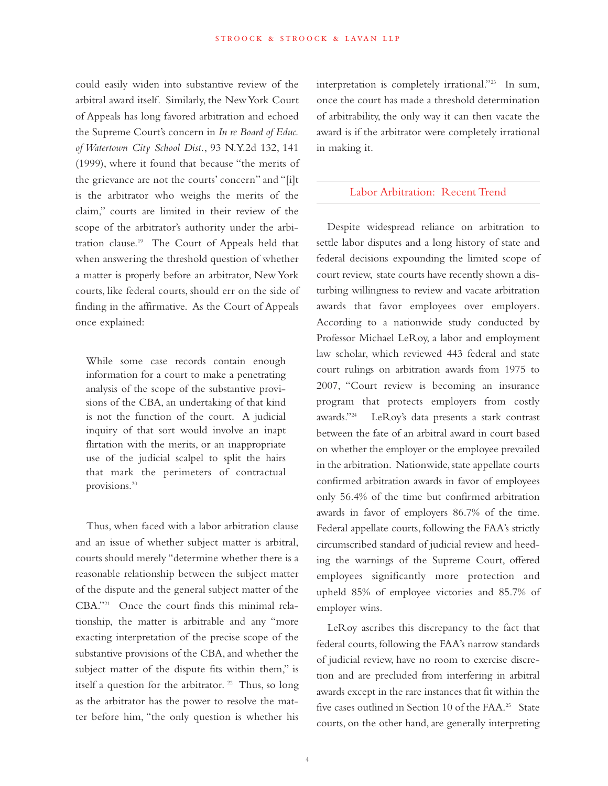could easily widen into substantive review of the arbitral award itself. Similarly, the New York Court of Appeals has long favored arbitration and echoed the Supreme Court's concern in *In re Board of Educ. of Watertown City School Dist.*, 93 N.Y.2d 132, 141 (1999), where it found that because "the merits of the grievance are not the courts' concern" and "[i]t is the arbitrator who weighs the merits of the claim," courts are limited in their review of the scope of the arbitrator's authority under the arbitration clause.19 The Court of Appeals held that when answering the threshold question of whether a matter is properly before an arbitrator, New York courts, like federal courts, should err on the side of finding in the affirmative. As the Court of Appeals once explained:

While some case records contain enough information for a court to make a penetrating analysis of the scope of the substantive provisions of the CBA, an undertaking of that kind is not the function of the court. A judicial inquiry of that sort would involve an inapt flirtation with the merits, or an inappropriate use of the judicial scalpel to split the hairs that mark the perimeters of contractual provisions.20

Thus, when faced with a labor arbitration clause and an issue of whether subject matter is arbitral, courts should merely "determine whether there is a reasonable relationship between the subject matter of the dispute and the general subject matter of the CBA."21 Once the court finds this minimal relationship, the matter is arbitrable and any "more exacting interpretation of the precise scope of the substantive provisions of the CBA, and whether the subject matter of the dispute fits within them," is itself a question for the arbitrator.  $22$  Thus, so long as the arbitrator has the power to resolve the matter before him, "the only question is whether his interpretation is completely irrational."23 In sum, once the court has made a threshold determination of arbitrability, the only way it can then vacate the award is if the arbitrator were completely irrational in making it.

#### Labor Arbitration: Recent Trend

Despite widespread reliance on arbitration to settle labor disputes and a long history of state and federal decisions expounding the limited scope of court review, state courts have recently shown a disturbing willingness to review and vacate arbitration awards that favor employees over employers. According to a nationwide study conducted by Professor Michael LeRoy, a labor and employment law scholar, which reviewed 443 federal and state court rulings on arbitration awards from 1975 to 2007, "Court review is becoming an insurance program that protects employers from costly awards."24 LeRoy's data presents a stark contrast between the fate of an arbitral award in court based on whether the employer or the employee prevailed in the arbitration. Nationwide, state appellate courts confirmed arbitration awards in favor of employees only 56.4% of the time but confirmed arbitration awards in favor of employers 86.7% of the time. Federal appellate courts, following the FAA's strictly circumscribed standard of judicial review and heeding the warnings of the Supreme Court, offered employees significantly more protection and upheld 85% of employee victories and 85.7% of employer wins.

LeRoy ascribes this discrepancy to the fact that federal courts, following the FAA's narrow standards of judicial review, have no room to exercise discretion and are precluded from interfering in arbitral awards except in the rare instances that fit within the five cases outlined in Section 10 of the FAA.<sup>25</sup> State courts, on the other hand, are generally interpreting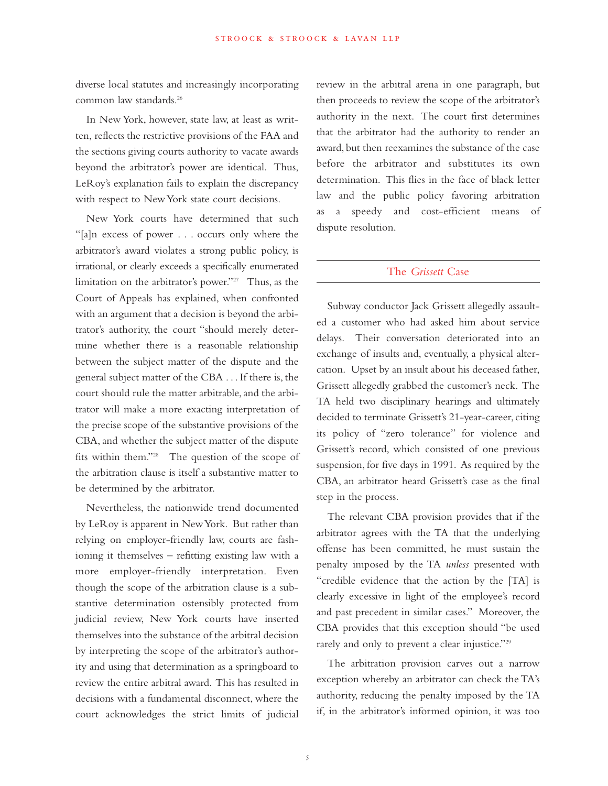diverse local statutes and increasingly incorporating common law standards.26

In New York, however, state law, at least as written, reflects the restrictive provisions of the FAA and the sections giving courts authority to vacate awards beyond the arbitrator's power are identical. Thus, LeRoy's explanation fails to explain the discrepancy with respect to New York state court decisions.

New York courts have determined that such "[a]n excess of power . . . occurs only where the arbitrator's award violates a strong public policy, is irrational, or clearly exceeds a specifically enumerated limitation on the arbitrator's power."27 Thus, as the Court of Appeals has explained, when confronted with an argument that a decision is beyond the arbitrator's authority, the court "should merely determine whether there is a reasonable relationship between the subject matter of the dispute and the general subject matter of the CBA . . . If there is, the court should rule the matter arbitrable, and the arbitrator will make a more exacting interpretation of the precise scope of the substantive provisions of the CBA, and whether the subject matter of the dispute fits within them."28 The question of the scope of the arbitration clause is itself a substantive matter to be determined by the arbitrator.

Nevertheless, the nationwide trend documented by LeRoy is apparent in New York. But rather than relying on employer-friendly law, courts are fashioning it themselves – refitting existing law with a more employer-friendly interpretation. Even though the scope of the arbitration clause is a substantive determination ostensibly protected from judicial review, New York courts have inserted themselves into the substance of the arbitral decision by interpreting the scope of the arbitrator's authority and using that determination as a springboard to review the entire arbitral award. This has resulted in decisions with a fundamental disconnect, where the court acknowledges the strict limits of judicial review in the arbitral arena in one paragraph, but then proceeds to review the scope of the arbitrator's authority in the next. The court first determines that the arbitrator had the authority to render an award, but then reexamines the substance of the case before the arbitrator and substitutes its own determination. This flies in the face of black letter law and the public policy favoring arbitration as a speedy and cost-efficient means of dispute resolution.

#### The *Grissett* Case

Subway conductor Jack Grissett allegedly assaulted a customer who had asked him about service delays. Their conversation deteriorated into an exchange of insults and, eventually, a physical altercation. Upset by an insult about his deceased father, Grissett allegedly grabbed the customer's neck. The TA held two disciplinary hearings and ultimately decided to terminate Grissett's 21-year-career, citing its policy of "zero tolerance" for violence and Grissett's record, which consisted of one previous suspension, for five days in 1991. As required by the CBA, an arbitrator heard Grissett's case as the final step in the process.

The relevant CBA provision provides that if the arbitrator agrees with the TA that the underlying offense has been committed, he must sustain the penalty imposed by the TA *unless* presented with "credible evidence that the action by the [TA] is clearly excessive in light of the employee's record and past precedent in similar cases." Moreover, the CBA provides that this exception should "be used rarely and only to prevent a clear injustice."<sup>29</sup>

The arbitration provision carves out a narrow exception whereby an arbitrator can check the TA's authority, reducing the penalty imposed by the TA if, in the arbitrator's informed opinion, it was too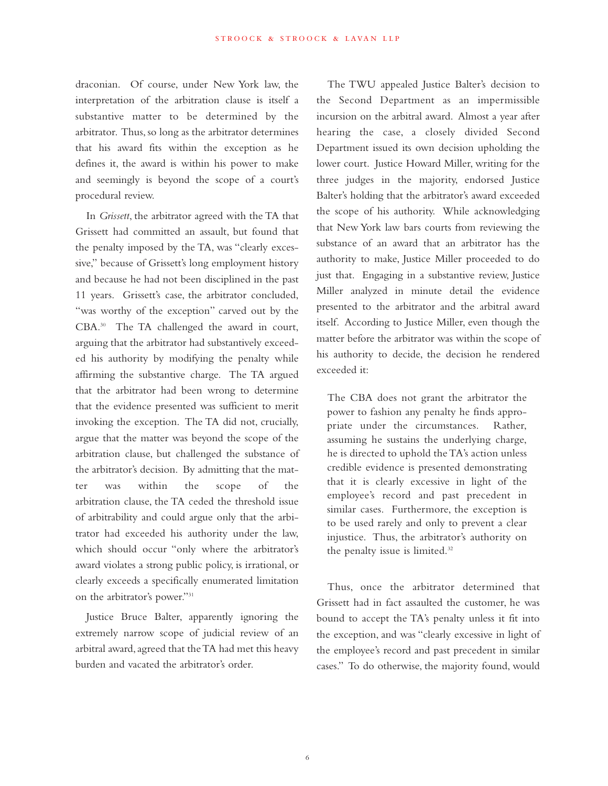draconian. Of course, under New York law, the interpretation of the arbitration clause is itself a substantive matter to be determined by the arbitrator. Thus, so long as the arbitrator determines that his award fits within the exception as he defines it, the award is within his power to make and seemingly is beyond the scope of a court's procedural review.

In *Grissett*, the arbitrator agreed with the TA that Grissett had committed an assault, but found that the penalty imposed by the TA, was "clearly excessive," because of Grissett's long employment history and because he had not been disciplined in the past 11 years. Grissett's case, the arbitrator concluded, "was worthy of the exception" carved out by the CBA.<sup>30</sup> The TA challenged the award in court, arguing that the arbitrator had substantively exceeded his authority by modifying the penalty while affirming the substantive charge. The TA argued that the arbitrator had been wrong to determine that the evidence presented was sufficient to merit invoking the exception. The TA did not, crucially, argue that the matter was beyond the scope of the arbitration clause, but challenged the substance of the arbitrator's decision. By admitting that the matter was within the scope of the arbitration clause, the TA ceded the threshold issue of arbitrability and could argue only that the arbitrator had exceeded his authority under the law, which should occur "only where the arbitrator's award violates a strong public policy, is irrational, or clearly exceeds a specifically enumerated limitation on the arbitrator's power."31

Justice Bruce Balter, apparently ignoring the extremely narrow scope of judicial review of an arbitral award, agreed that the TA had met this heavy burden and vacated the arbitrator's order.

The TWU appealed Justice Balter's decision to the Second Department as an impermissible incursion on the arbitral award. Almost a year after hearing the case, a closely divided Second Department issued its own decision upholding the lower court. Justice Howard Miller, writing for the three judges in the majority, endorsed Justice Balter's holding that the arbitrator's award exceeded the scope of his authority. While acknowledging that New York law bars courts from reviewing the substance of an award that an arbitrator has the authority to make, Justice Miller proceeded to do just that. Engaging in a substantive review, Justice Miller analyzed in minute detail the evidence presented to the arbitrator and the arbitral award itself. According to Justice Miller, even though the matter before the arbitrator was within the scope of his authority to decide, the decision he rendered exceeded it:

The CBA does not grant the arbitrator the power to fashion any penalty he finds appropriate under the circumstances. Rather, assuming he sustains the underlying charge, he is directed to uphold the TA's action unless credible evidence is presented demonstrating that it is clearly excessive in light of the employee's record and past precedent in similar cases. Furthermore, the exception is to be used rarely and only to prevent a clear injustice. Thus, the arbitrator's authority on the penalty issue is limited.<sup>32</sup>

Thus, once the arbitrator determined that Grissett had in fact assaulted the customer, he was bound to accept the TA's penalty unless it fit into the exception, and was "clearly excessive in light of the employee's record and past precedent in similar cases." To do otherwise, the majority found, would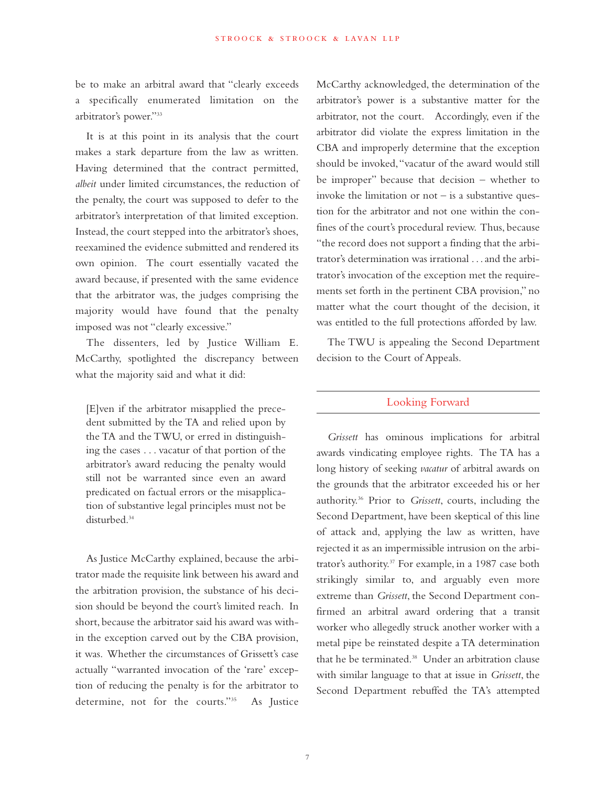be to make an arbitral award that "clearly exceeds a specifically enumerated limitation on the arbitrator's power."33

It is at this point in its analysis that the court makes a stark departure from the law as written. Having determined that the contract permitted, *albeit* under limited circumstances, the reduction of the penalty, the court was supposed to defer to the arbitrator's interpretation of that limited exception. Instead, the court stepped into the arbitrator's shoes, reexamined the evidence submitted and rendered its own opinion. The court essentially vacated the award because, if presented with the same evidence that the arbitrator was, the judges comprising the majority would have found that the penalty imposed was not "clearly excessive."

The dissenters, led by Justice William E. McCarthy, spotlighted the discrepancy between what the majority said and what it did:

[E]ven if the arbitrator misapplied the precedent submitted by the TA and relied upon by the TA and the TWU, or erred in distinguishing the cases . . . vacatur of that portion of the arbitrator's award reducing the penalty would still not be warranted since even an award predicated on factual errors or the misapplication of substantive legal principles must not be disturbed.34

As Justice McCarthy explained, because the arbitrator made the requisite link between his award and the arbitration provision, the substance of his decision should be beyond the court's limited reach. In short, because the arbitrator said his award was within the exception carved out by the CBA provision, it was. Whether the circumstances of Grissett's case actually "warranted invocation of the 'rare' exception of reducing the penalty is for the arbitrator to determine, not for the courts."35 As Justice McCarthy acknowledged, the determination of the arbitrator's power is a substantive matter for the arbitrator, not the court. Accordingly, even if the arbitrator did violate the express limitation in the CBA and improperly determine that the exception should be invoked, "vacatur of the award would still be improper" because that decision – whether to invoke the limitation or  $not - is a$  substantive question for the arbitrator and not one within the confines of the court's procedural review. Thus, because "the record does not support a finding that the arbitrator's determination was irrational . . . and the arbitrator's invocation of the exception met the requirements set forth in the pertinent CBA provision," no matter what the court thought of the decision, it was entitled to the full protections afforded by law.

The TWU is appealing the Second Department decision to the Court of Appeals.

#### Looking Forward

*Grissett* has ominous implications for arbitral awards vindicating employee rights. The TA has a long history of seeking *vacatur* of arbitral awards on the grounds that the arbitrator exceeded his or her authority.36 Prior to *Grissett*, courts, including the Second Department, have been skeptical of this line of attack and, applying the law as written, have rejected it as an impermissible intrusion on the arbitrator's authority.37 For example, in a 1987 case both strikingly similar to, and arguably even more extreme than *Grissett*, the Second Department confirmed an arbitral award ordering that a transit worker who allegedly struck another worker with a metal pipe be reinstated despite a TA determination that he be terminated.<sup>38</sup> Under an arbitration clause with similar language to that at issue in *Grissett*, the Second Department rebuffed the TA's attempted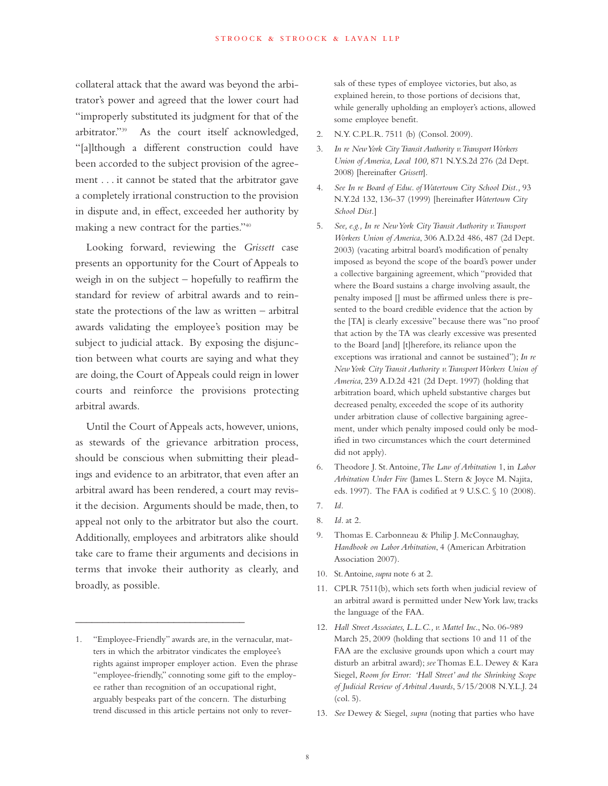collateral attack that the award was beyond the arbitrator's power and agreed that the lower court had "improperly substituted its judgment for that of the arbitrator."39 As the court itself acknowledged, "[a]lthough a different construction could have been accorded to the subject provision of the agreement . . . it cannot be stated that the arbitrator gave a completely irrational construction to the provision in dispute and, in effect, exceeded her authority by making a new contract for the parties."40

Looking forward, reviewing the *Grissett* case presents an opportunity for the Court of Appeals to weigh in on the subject – hopefully to reaffirm the standard for review of arbitral awards and to reinstate the protections of the law as written – arbitral awards validating the employee's position may be subject to judicial attack. By exposing the disjunction between what courts are saying and what they are doing, the Court of Appeals could reign in lower courts and reinforce the provisions protecting arbitral awards.

Until the Court of Appeals acts, however, unions, as stewards of the grievance arbitration process, should be conscious when submitting their pleadings and evidence to an arbitrator, that even after an arbitral award has been rendered, a court may revisit the decision. Arguments should be made, then, to appeal not only to the arbitrator but also the court. Additionally, employees and arbitrators alike should take care to frame their arguments and decisions in terms that invoke their authority as clearly, and broadly, as possible.

\_\_\_\_\_\_\_\_\_\_\_\_\_\_\_\_\_\_\_\_\_\_\_\_\_\_\_\_\_\_\_

sals of these types of employee victories, but also, as explained herein, to those portions of decisions that, while generally upholding an employer's actions, allowed some employee benefit.

- 2. N.Y. C.P.L.R. 7511 (b) (Consol. 2009).
- 3. *In re New York City Transit Authority v. Transport Workers Union of America, Local 100,* 871 N.Y.S.2d 276 (2d Dept. 2008) [hereinafter *Grissett*].
- 4. *See In re Board of Educ. of Watertown City School Dist.,* 93 N.Y.2d 132, 136-37 (1999) [hereinafter*Watertown City School Dist.*]
- 5. *See, e.g., In re New York City Transit Authority v. Transport Workers Union of America*, 306 A.D.2d 486, 487 (2d Dept. 2003) (vacating arbitral board's modification of penalty imposed as beyond the scope of the board's power under a collective bargaining agreement, which "provided that where the Board sustains a charge involving assault, the penalty imposed [] must be affirmed unless there is presented to the board credible evidence that the action by the [TA] is clearly excessive" because there was "no proof that action by the TA was clearly excessive was presented to the Board [and] [t]herefore, its reliance upon the exceptions was irrational and cannot be sustained"); *In re New York City Transit Authority v. Transport Workers Union of America*, 239 A.D.2d 421 (2d Dept. 1997) (holding that arbitration board, which upheld substantive charges but decreased penalty, exceeded the scope of its authority under arbitration clause of collective bargaining agreement, under which penalty imposed could only be modified in two circumstances which the court determined did not apply).
- 6. Theodore J. St. Antoine*, The Law of Arbitration* 1, in *Labor Arbitration Under Fire* (James L. Stern & Joyce M. Najita, eds. 1997). The FAA is codified at 9 U.S.C. § 10 (2008).
- 7. *Id.*
- 8. *Id.* at 2.
- 9. Thomas E. Carbonneau & Philip J. McConnaughay, *Handbook on Labor Arbitration*, 4 (American Arbitration Association 2007).
- 10. St. Antoine, *supra* note 6 at 2.
- 11. CPLR 7511(b), which sets forth when judicial review of an arbitral award is permitted under New York law, tracks the language of the FAA.
- 12. *Hall Street Associates, L.L.C., v. Mattel Inc*., No. 06-989 March 25, 2009 (holding that sections 10 and 11 of the FAA are the exclusive grounds upon which a court may disturb an arbitral award); *see* Thomas E.L. Dewey & Kara Siegel, *Room for Error: 'Hall Street' and the Shrinking Scope of Judicial Review of Arbitral Awards*, 5/15/2008 N.Y.L.J. 24 (col. 5).
- 13. *See* Dewey & Siegel, *supra* (noting that parties who have

<sup>1. &</sup>quot;Employee-Friendly" awards are, in the vernacular, matters in which the arbitrator vindicates the employee's rights against improper employer action. Even the phrase "employee-friendly," connoting some gift to the employee rather than recognition of an occupational right, arguably bespeaks part of the concern. The disturbing trend discussed in this article pertains not only to rever-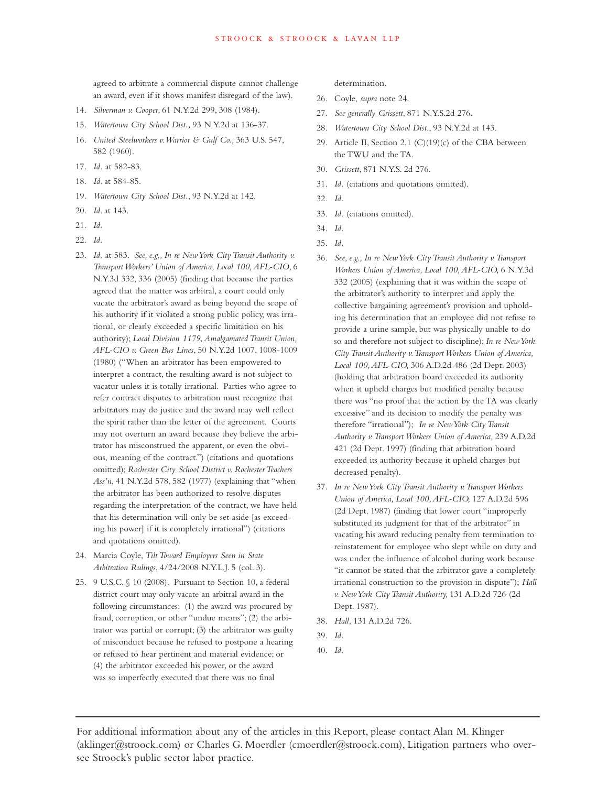agreed to arbitrate a commercial dispute cannot challenge an award, even if it shows manifest disregard of the law).

- 14. *Silverman v. Cooper*, 61 N.Y.2d 299, 308 (1984).
- 15. *Watertown City School Dist.,* 93 N.Y.2d at 136-37.
- 16. *United Steelworkers v. Warrior & Gulf Co.,* 363 U.S. 547, 582 (1960).
- 17. *Id.* at 582-83.
- 18. *Id.* at 584-85.
- 19. *Watertown City School Dist.*, 93 N.Y.2d at 142.
- 20. *Id.* at 143.
- 21. *Id.*
- 22. *Id.*
- 23. *Id.* at 583. *See, e.g., In re New York City Transit Authority v. Transport Workers' Union of America, Local 100, AFL-CIO*, 6 N.Y.3d 332, 336 (2005) (finding that because the parties agreed that the matter was arbitral, a court could only vacate the arbitrator's award as being beyond the scope of his authority if it violated a strong public policy, was irrational, or clearly exceeded a specific limitation on his authority); *Local Division 1179, Amalgamated Transit Union, AFL-CIO v. Green Bus Lines*, 50 N.Y.2d 1007, 1008-1009 (1980) ("When an arbitrator has been empowered to interpret a contract, the resulting award is not subject to vacatur unless it is totally irrational. Parties who agree to refer contract disputes to arbitration must recognize that arbitrators may do justice and the award may well reflect the spirit rather than the letter of the agreement. Courts may not overturn an award because they believe the arbitrator has misconstrued the apparent, or even the obvious, meaning of the contract.") (citations and quotations omitted); *Rochester City School District v. Rochester Teachers Ass'n*, 41 N.Y.2d 578, 582 (1977) (explaining that "when the arbitrator has been authorized to resolve disputes regarding the interpretation of the contract, we have held that his determination will only be set aside [as exceeding his power] if it is completely irrational") (citations and quotations omitted).
- 24. Marcia Coyle, *Tilt Toward Employers Seen in State Arbitration Rulings*, 4/24/2008 N.Y.L.J. 5 (col. 3).
- 25. 9 U.S.C. § 10 (2008). Pursuant to Section 10, a federal district court may only vacate an arbitral award in the following circumstances: (1) the award was procured by fraud, corruption, or other "undue means"; (2) the arbitrator was partial or corrupt; (3) the arbitrator was guilty of misconduct because he refused to postpone a hearing or refused to hear pertinent and material evidence; or (4) the arbitrator exceeded his power, or the award was so imperfectly executed that there was no final

determination.

- 26. Coyle, *supra* note 24.
- 27. *See generally Grissett*, 871 N.Y.S.2d 276.
- 28. *Watertown City School Dist*., 93 N.Y.2d at 143.
- 29. Article II, Section 2.1 (C)(19)(c) of the CBA between the TWU and the TA.
- 30. *Grissett*, 871 N.Y.S. 2d 276.
- 31. *Id.* (citations and quotations omitted).
- 32. *Id.*
- 33. *Id.* (citations omitted).
- 34. *Id.*
- 35. *Id.*
- 36. *See, e.g., In re New York City Transit Authority v. Transport Workers Union of America, Local 100, AFL-CIO,* 6 N.Y.3d 332 (2005) (explaining that it was within the scope of the arbitrator's authority to interpret and apply the collective bargaining agreement's provision and upholding his determination that an employee did not refuse to provide a urine sample, but was physically unable to do so and therefore not subject to discipline); *In re New York City Transit Authority v. Transport Workers Union of America, Local 100, AFL-CIO,* 306 A.D.2d 486 (2d Dept. 2003) (holding that arbitration board exceeded its authority when it upheld charges but modified penalty because there was "no proof that the action by the TA was clearly excessive" and its decision to modify the penalty was therefore "irrational"); *In re New York City Transit Authority v. Transport Workers Union of America,* 239 A.D.2d 421 (2d Dept. 1997) (finding that arbitration board exceeded its authority because it upheld charges but decreased penalty).
- 37. *In re New York City Transit Authority v. Transport Workers Union of America, Local 100, AFL-CIO,* 127 A.D.2d 596 (2d Dept. 1987) (finding that lower court "improperly substituted its judgment for that of the arbitrator" in vacating his award reducing penalty from termination to reinstatement for employee who slept while on duty and was under the influence of alcohol during work because "it cannot be stated that the arbitrator gave a completely irrational construction to the provision in dispute"); *Hall v. New York City Transit Authority,* 131 A.D.2d 726 (2d Dept. 1987).
- 38. *Hall,* 131 A.D.2d 726.
- 39. *Id.*
- 40. *Id.*

For additional information about any of the articles in this Report, please contact Alan M. Klinger (aklinger@stroock.com) or Charles G. Moerdler (cmoerdler@stroock.com), Litigation partners who oversee Stroock's public sector labor practice.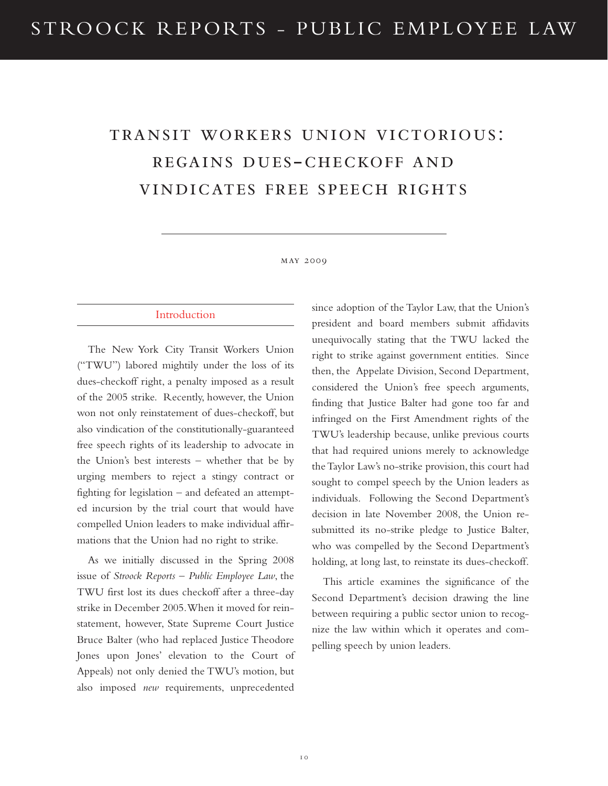## transit workers union victorious: regains dues-checkoff and vindicates free speech rights

#### may 2009

#### Introduction

The New York City Transit Workers Union ("TWU") labored mightily under the loss of its dues-checkoff right, a penalty imposed as a result of the 2005 strike. Recently, however, the Union won not only reinstatement of dues-checkoff, but also vindication of the constitutionally-guaranteed free speech rights of its leadership to advocate in the Union's best interests – whether that be by urging members to reject a stingy contract or fighting for legislation – and defeated an attempted incursion by the trial court that would have compelled Union leaders to make individual affirmations that the Union had no right to strike.

As we initially discussed in the Spring 2008 issue of *Stroock Reports – Public Employee Law*, the TWU first lost its dues checkoff after a three-day strike in December 2005. When it moved for reinstatement, however, State Supreme Court Justice Bruce Balter (who had replaced Justice Theodore Jones upon Jones' elevation to the Court of Appeals) not only denied the TWU's motion, but also imposed *new* requirements, unprecedented

since adoption of the Taylor Law, that the Union's president and board members submit affidavits unequivocally stating that the TWU lacked the right to strike against government entities. Since then, the Appelate Division, Second Department, considered the Union's free speech arguments, finding that Justice Balter had gone too far and infringed on the First Amendment rights of the TWU's leadership because, unlike previous courts that had required unions merely to acknowledge the Taylor Law's no-strike provision, this court had sought to compel speech by the Union leaders as individuals. Following the Second Department's decision in late November 2008, the Union resubmitted its no-strike pledge to Justice Balter, who was compelled by the Second Department's holding, at long last, to reinstate its dues-checkoff.

This article examines the significance of the Second Department's decision drawing the line between requiring a public sector union to recognize the law within which it operates and compelling speech by union leaders.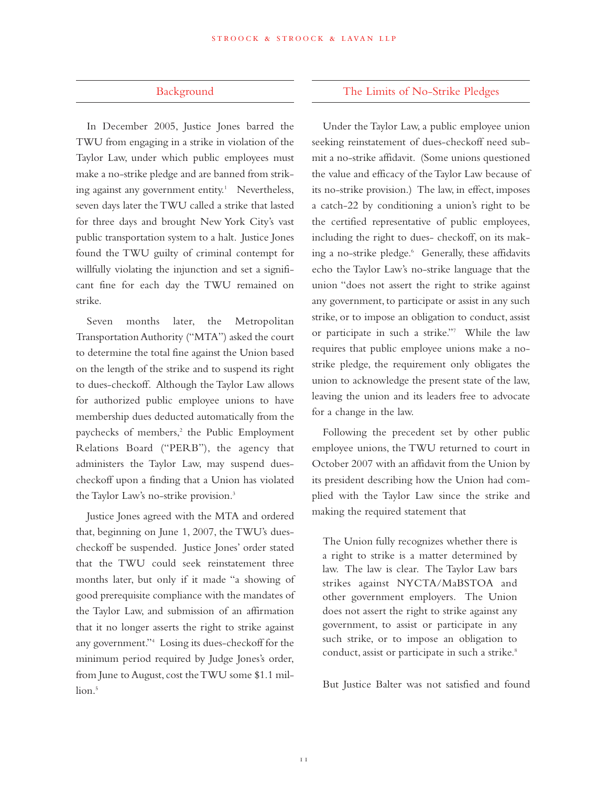#### Background

In December 2005, Justice Jones barred the TWU from engaging in a strike in violation of the Taylor Law, under which public employees must make a no-strike pledge and are banned from striking against any government entity.<sup>1</sup> Nevertheless, seven days later the TWU called a strike that lasted for three days and brought New York City's vast public transportation system to a halt. Justice Jones found the TWU guilty of criminal contempt for willfully violating the injunction and set a significant fine for each day the TWU remained on strike.

Seven months later, the Metropolitan Transportation Authority ("MTA") asked the court to determine the total fine against the Union based on the length of the strike and to suspend its right to dues-checkoff. Although the Taylor Law allows for authorized public employee unions to have membership dues deducted automatically from the paychecks of members,<sup>2</sup> the Public Employment Relations Board ("PERB"), the agency that administers the Taylor Law, may suspend duescheckoff upon a finding that a Union has violated the Taylor Law's no-strike provision.<sup>3</sup>

Justice Jones agreed with the MTA and ordered that, beginning on June 1, 2007, the TWU's duescheckoff be suspended. Justice Jones' order stated that the TWU could seek reinstatement three months later, but only if it made "a showing of good prerequisite compliance with the mandates of the Taylor Law, and submission of an affirmation that it no longer asserts the right to strike against any government."4 Losing its dues-checkoff for the minimum period required by Judge Jones's order, from June to August, cost the TWU some \$1.1 million.<sup>5</sup>

#### The Limits of No-Strike Pledges

Under the Taylor Law, a public employee union seeking reinstatement of dues-checkoff need submit a no-strike affidavit. (Some unions questioned the value and efficacy of the Taylor Law because of its no-strike provision.) The law, in effect, imposes a catch-22 by conditioning a union's right to be the certified representative of public employees, including the right to dues- checkoff, on its making a no-strike pledge.<sup>6</sup> Generally, these affidavits echo the Taylor Law's no-strike language that the union "does not assert the right to strike against any government, to participate or assist in any such strike, or to impose an obligation to conduct, assist or participate in such a strike."7 While the law requires that public employee unions make a nostrike pledge, the requirement only obligates the union to acknowledge the present state of the law, leaving the union and its leaders free to advocate for a change in the law.

Following the precedent set by other public employee unions, the TWU returned to court in October 2007 with an affidavit from the Union by its president describing how the Union had complied with the Taylor Law since the strike and making the required statement that

The Union fully recognizes whether there is a right to strike is a matter determined by law. The law is clear. The Taylor Law bars strikes against NYCTA/MaBSTOA and other government employers. The Union does not assert the right to strike against any government, to assist or participate in any such strike, or to impose an obligation to conduct, assist or participate in such a strike.<sup>8</sup>

But Justice Balter was not satisfied and found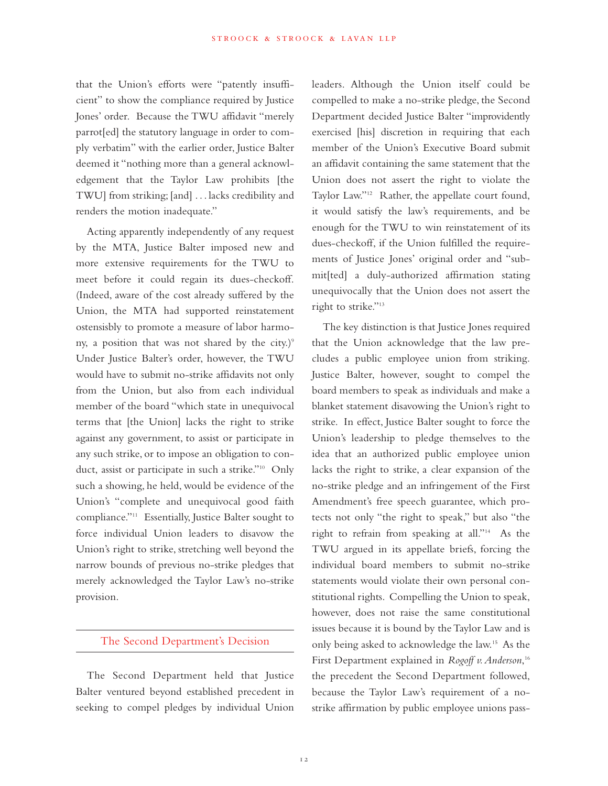that the Union's efforts were "patently insufficient" to show the compliance required by Justice Jones' order. Because the TWU affidavit "merely parrot[ed] the statutory language in order to comply verbatim" with the earlier order, Justice Balter deemed it "nothing more than a general acknowledgement that the Taylor Law prohibits [the TWU] from striking; [and] . . . lacks credibility and renders the motion inadequate."

Acting apparently independently of any request by the MTA, Justice Balter imposed new and more extensive requirements for the TWU to meet before it could regain its dues-checkoff. (Indeed, aware of the cost already suffered by the Union, the MTA had supported reinstatement ostensisbly to promote a measure of labor harmony, a position that was not shared by the city.) $9$ Under Justice Balter's order, however, the TWU would have to submit no-strike affidavits not only from the Union, but also from each individual member of the board "which state in unequivocal terms that [the Union] lacks the right to strike against any government, to assist or participate in any such strike, or to impose an obligation to conduct, assist or participate in such a strike."10 Only such a showing, he held, would be evidence of the Union's "complete and unequivocal good faith compliance."11 Essentially, Justice Balter sought to force individual Union leaders to disavow the Union's right to strike, stretching well beyond the narrow bounds of previous no-strike pledges that merely acknowledged the Taylor Law's no-strike provision.

#### The Second Department's Decision

The Second Department held that Justice Balter ventured beyond established precedent in seeking to compel pledges by individual Union leaders. Although the Union itself could be compelled to make a no-strike pledge, the Second Department decided Justice Balter "improvidently exercised [his] discretion in requiring that each member of the Union's Executive Board submit an affidavit containing the same statement that the Union does not assert the right to violate the Taylor Law."12 Rather, the appellate court found, it would satisfy the law's requirements, and be enough for the TWU to win reinstatement of its dues-checkoff, if the Union fulfilled the requirements of Justice Jones' original order and "submit[ted] a duly-authorized affirmation stating unequivocally that the Union does not assert the right to strike."13

The key distinction is that Justice Jones required that the Union acknowledge that the law precludes a public employee union from striking. Justice Balter, however, sought to compel the board members to speak as individuals and make a blanket statement disavowing the Union's right to strike. In effect, Justice Balter sought to force the Union's leadership to pledge themselves to the idea that an authorized public employee union lacks the right to strike, a clear expansion of the no-strike pledge and an infringement of the First Amendment's free speech guarantee, which protects not only "the right to speak," but also "the right to refrain from speaking at all."14 As the TWU argued in its appellate briefs, forcing the individual board members to submit no-strike statements would violate their own personal constitutional rights. Compelling the Union to speak, however, does not raise the same constitutional issues because it is bound by the Taylor Law and is only being asked to acknowledge the law.15 As the First Department explained in *Rogoff v. Anderson*, 16 the precedent the Second Department followed, because the Taylor Law's requirement of a nostrike affirmation by public employee unions pass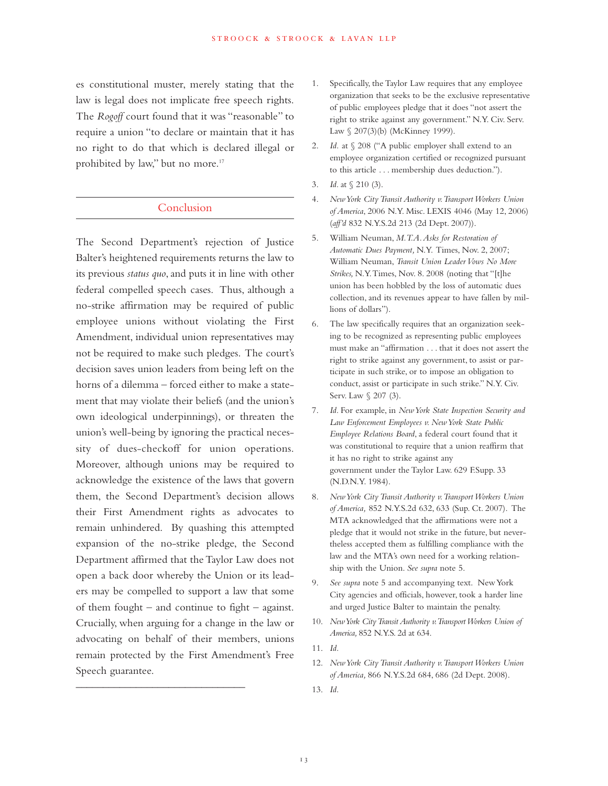es constitutional muster, merely stating that the law is legal does not implicate free speech rights. The *Rogoff* court found that it was "reasonable" to require a union "to declare or maintain that it has no right to do that which is declared illegal or prohibited by law," but no more.<sup>17</sup>

#### Conclusion

The Second Department's rejection of Justice Balter's heightened requirements returns the law to its previous *status quo*, and puts it in line with other federal compelled speech cases. Thus, although a no-strike affirmation may be required of public employee unions without violating the First Amendment, individual union representatives may not be required to make such pledges. The court's decision saves union leaders from being left on the horns of a dilemma – forced either to make a statement that may violate their beliefs (and the union's own ideological underpinnings), or threaten the union's well-being by ignoring the practical necessity of dues-checkoff for union operations. Moreover, although unions may be required to acknowledge the existence of the laws that govern them, the Second Department's decision allows their First Amendment rights as advocates to remain unhindered. By quashing this attempted expansion of the no-strike pledge, the Second Department affirmed that the Taylor Law does not open a back door whereby the Union or its leaders may be compelled to support a law that some of them fought – and continue to fight – against. Crucially, when arguing for a change in the law or advocating on behalf of their members, unions remain protected by the First Amendment's Free Speech guarantee.

 $\overline{\phantom{a}}$  , where  $\overline{\phantom{a}}$  , where  $\overline{\phantom{a}}$  ,  $\overline{\phantom{a}}$  ,  $\overline{\phantom{a}}$  ,  $\overline{\phantom{a}}$  ,  $\overline{\phantom{a}}$  ,  $\overline{\phantom{a}}$  ,  $\overline{\phantom{a}}$  ,  $\overline{\phantom{a}}$  ,  $\overline{\phantom{a}}$  ,  $\overline{\phantom{a}}$  ,  $\overline{\phantom{a}}$  ,  $\overline{\phantom{a}}$  ,  $\overline{\phantom{a}}$  ,

- 1. Specifically, the Taylor Law requires that any employee organization that seeks to be the exclusive representative of public employees pledge that it does "not assert the right to strike against any government." N.Y. Civ. Serv. Law § 207(3)(b) (McKinney 1999).
- 2. *Id.* at § 208 ("A public employer shall extend to an employee organization certified or recognized pursuant to this article . . . membership dues deduction.").
- 3. *Id.* at § 210 (3).
- 4. *New York City Transit Authority v. Transport Workers Union of America*, 2006 N.Y. Misc. LEXIS 4046 (May 12, 2006) (*aff'd* 832 N.Y.S.2d 213 (2d Dept. 2007)).
- 5. William Neuman, *M.T.A. Asks for Restoration of Automatic Dues Payment,* N.Y. Times, Nov. 2, 2007; William Neuman, *Transit Union Leader Vows No More Strikes,* N.Y. Times, Nov. 8. 2008 (noting that "[t]he union has been hobbled by the loss of automatic dues collection, and its revenues appear to have fallen by millions of dollars").
- 6. The law specifically requires that an organization seeking to be recognized as representing public employees must make an "affirmation . . . that it does not assert the right to strike against any government, to assist or participate in such strike, or to impose an obligation to conduct, assist or participate in such strike." N.Y. Civ. Serv. Law § 207 (3).
- 7. *Id.* For example, in *New York State Inspection Security and Law Enforcement Employees v. New York State Public Employee Relations Board*, a federal court found that it was constitutional to require that a union reaffirm that it has no right to strike against any government under the Taylor Law. 629 F.Supp. 33 (N.D.N.Y. 1984).
- 8. *New York City Transit Authority v. Transport Workers Union of America,* 852 N.Y.S.2d 632, 633 (Sup. Ct. 2007). The MTA acknowledged that the affirmations were not a pledge that it would not strike in the future, but nevertheless accepted them as fulfilling compliance with the law and the MTA's own need for a working relationship with the Union. *See supra* note 5.
- 9. *See supra* note 5 and accompanying text. New York City agencies and officials, however, took a harder line and urged Justice Balter to maintain the penalty.
- 10. *New York City Transit Authority v. Transport Workers Union of America,* 852 N.Y.S. 2d at 634.
- 11. *Id.*
- 12. *New York City Transit Authority v. Transport Workers Union of America,* 866 N.Y.S.2d 684, 686 (2d Dept. 2008).
- 13. *Id.*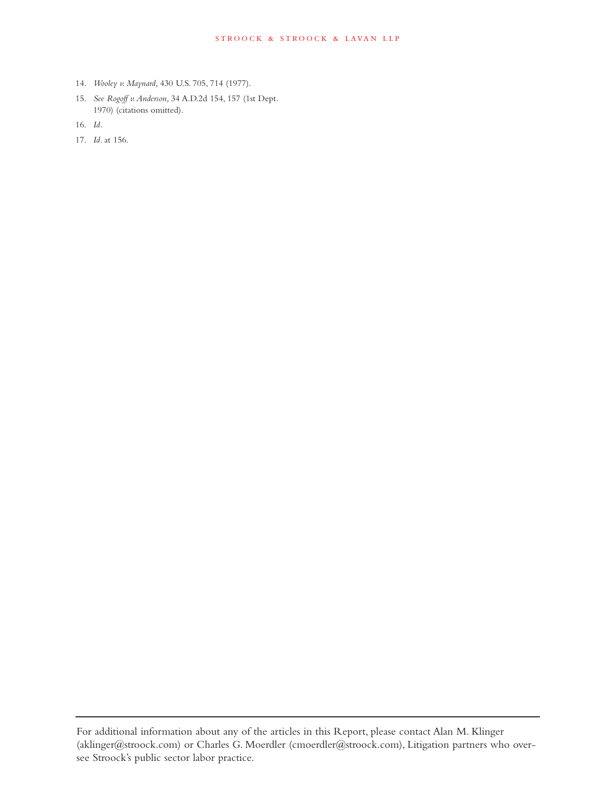- 14. *Wooley v. Maynard,* 430 U.S. 705, 714 (1977).
- 15. *See Rogoff v. Anderson,* 34 A.D.2d 154, 157 (1st Dept. 1970) (citations omitted).
- 16. *Id.*
- 17. *Id.* at 156.

For additional information about any of the articles in this Report, please contact Alan M. Klinger (aklinger@stroock.com) or Charles G. Moerdler (cmoerdler@stroock.com), Litigation partners who oversee Stroock's public sector labor practice.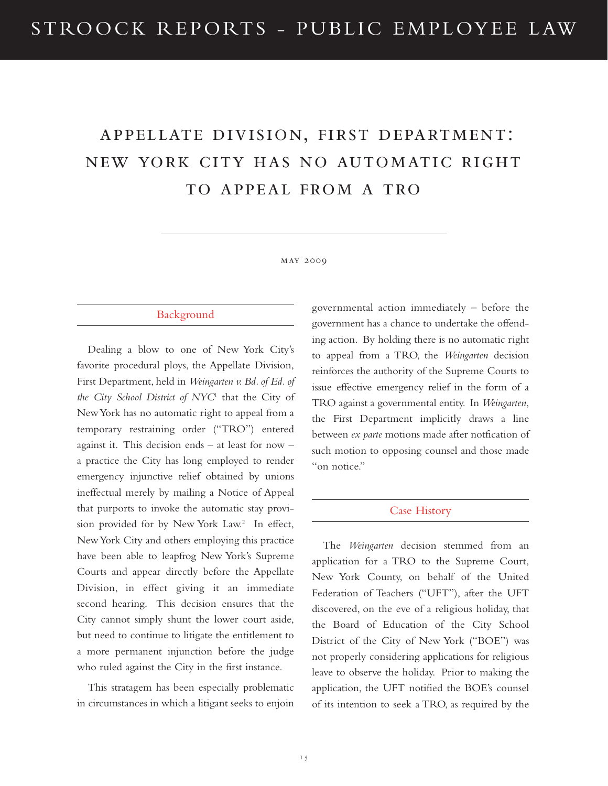## appellate division, first department: new york city has no automatic right to appeal from a tro

#### may 2009

#### Background

Dealing a blow to one of New York City's favorite procedural ploys, the Appellate Division, First Department, held in *Weingarten v. Bd. of Ed. of the City School District of NYC*<sup>1</sup> that the City of New York has no automatic right to appeal from a temporary restraining order ("TRO") entered against it. This decision ends – at least for now – a practice the City has long employed to render emergency injunctive relief obtained by unions ineffectual merely by mailing a Notice of Appeal that purports to invoke the automatic stay provision provided for by New York Law.<sup>2</sup> In effect, New York City and others employing this practice have been able to leapfrog New York's Supreme Courts and appear directly before the Appellate Division, in effect giving it an immediate second hearing. This decision ensures that the City cannot simply shunt the lower court aside, but need to continue to litigate the entitlement to a more permanent injunction before the judge who ruled against the City in the first instance.

This stratagem has been especially problematic in circumstances in which a litigant seeks to enjoin governmental action immediately – before the government has a chance to undertake the offending action. By holding there is no automatic right to appeal from a TRO, the *Weingarten* decision reinforces the authority of the Supreme Courts to issue effective emergency relief in the form of a TRO against a governmental entity. In *Weingarten*, the First Department implicitly draws a line between *ex parte* motions made after notfication of such motion to opposing counsel and those made "on notice."

#### Case History

The *Weingarten* decision stemmed from an application for a TRO to the Supreme Court, New York County, on behalf of the United Federation of Teachers ("UFT"), after the UFT discovered, on the eve of a religious holiday, that the Board of Education of the City School District of the City of New York ("BOE") was not properly considering applications for religious leave to observe the holiday. Prior to making the application, the UFT notified the BOE's counsel of its intention to seek a TRO, as required by the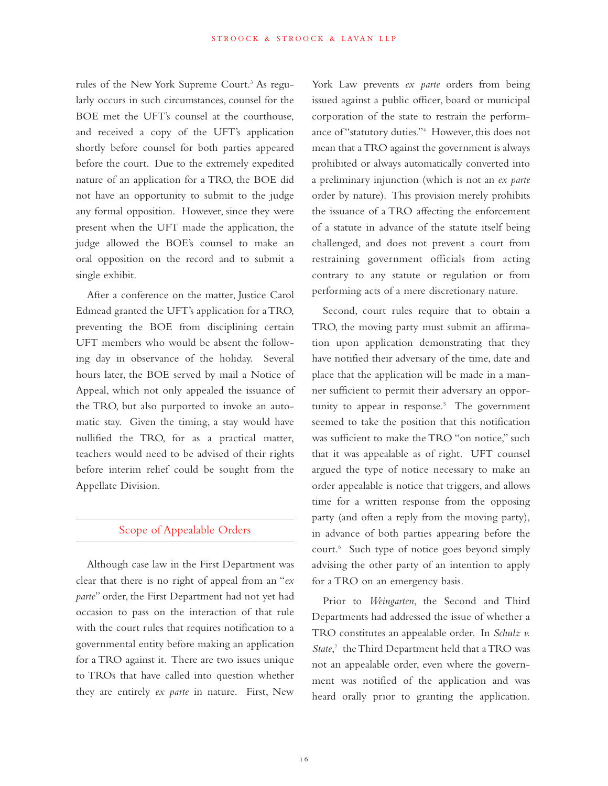rules of the New York Supreme Court.<sup>3</sup> As regularly occurs in such circumstances, counsel for the BOE met the UFT's counsel at the courthouse, and received a copy of the UFT's application shortly before counsel for both parties appeared before the court. Due to the extremely expedited nature of an application for a TRO, the BOE did not have an opportunity to submit to the judge any formal opposition. However, since they were present when the UFT made the application, the judge allowed the BOE's counsel to make an oral opposition on the record and to submit a single exhibit.

After a conference on the matter, Justice Carol Edmead granted the UFT's application for a TRO, preventing the BOE from disciplining certain UFT members who would be absent the following day in observance of the holiday. Several hours later, the BOE served by mail a Notice of Appeal, which not only appealed the issuance of the TRO, but also purported to invoke an automatic stay. Given the timing, a stay would have nullified the TRO, for as a practical matter, teachers would need to be advised of their rights before interim relief could be sought from the Appellate Division.

#### Scope of Appealable Orders

Although case law in the First Department was clear that there is no right of appeal from an "*ex parte*" order, the First Department had not yet had occasion to pass on the interaction of that rule with the court rules that requires notification to a governmental entity before making an application for a TRO against it. There are two issues unique to TROs that have called into question whether they are entirely *ex parte* in nature. First, New York Law prevents *ex parte* orders from being issued against a public officer, board or municipal corporation of the state to restrain the performance of "statutory duties."4 However, this does not mean that a TRO against the government is always prohibited or always automatically converted into a preliminary injunction (which is not an *ex parte* order by nature). This provision merely prohibits the issuance of a TRO affecting the enforcement of a statute in advance of the statute itself being challenged, and does not prevent a court from restraining government officials from acting contrary to any statute or regulation or from performing acts of a mere discretionary nature.

Second, court rules require that to obtain a TRO, the moving party must submit an affirmation upon application demonstrating that they have notified their adversary of the time, date and place that the application will be made in a manner sufficient to permit their adversary an opportunity to appear in response. $5$  The government seemed to take the position that this notification was sufficient to make the TRO "on notice," such that it was appealable as of right. UFT counsel argued the type of notice necessary to make an order appealable is notice that triggers, and allows time for a written response from the opposing party (and often a reply from the moving party), in advance of both parties appearing before the court.6 Such type of notice goes beyond simply advising the other party of an intention to apply for a TRO on an emergency basis.

Prior to *Weingarten*, the Second and Third Departments had addressed the issue of whether a TRO constitutes an appealable order. In *Schulz v. State*, <sup>7</sup> the Third Department held that a TRO was not an appealable order, even where the government was notified of the application and was heard orally prior to granting the application.